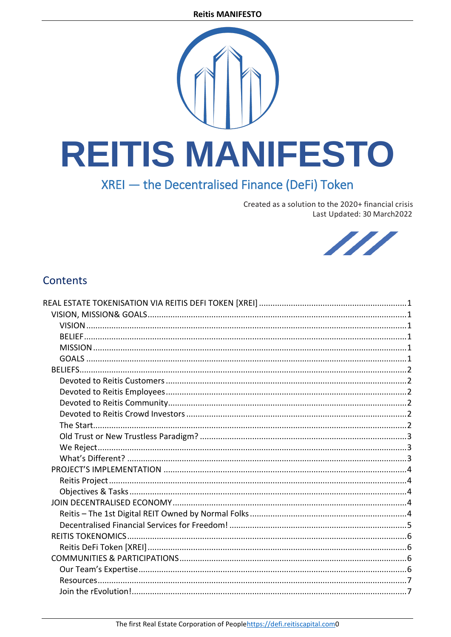# **REITIS MANIFESTO**

# XREI - the Decentralised Finance (DeFi) Token

Created as a solution to the 2020+ financial crisis Last Updated: 30 March2022



# **Contents**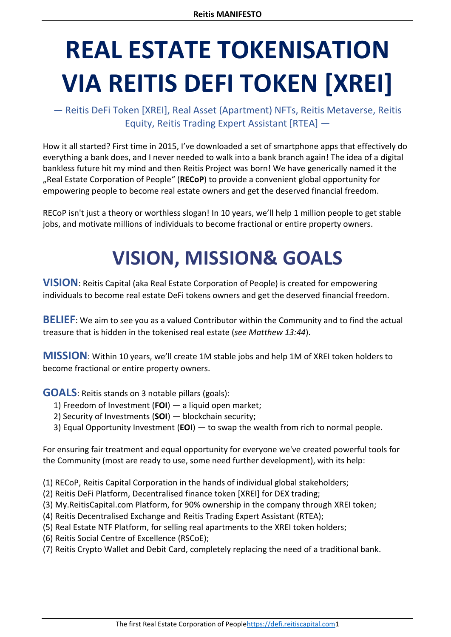# <span id="page-1-0"></span>**REAL ESTATE TOKENISATION VIA REITIS DEFI TOKEN [XREI]**

— Reitis DeFi Token [XREI], Real Asset (Apartment) NFTs, Reitis Metaverse, Reitis Equity, Reitis Trading Expert Assistant [RTEA] —

How it all started? First time in 2015, I've downloaded a set of smartphone apps that effectively do everything a bank does, and I never needed to walk into a bank branch again! The idea of a digital bankless future hit my mind and then Reitis Project was born! We have generically named it the "Real Estate Corporation of People" (**RECoP**) to provide a convenient global opportunity for empowering people to become real estate owners and get the deserved financial freedom.

<span id="page-1-1"></span>RECoP isn't just a theory or worthless slogan! In 10 years, we'll help 1 million people to get stable jobs, and motivate millions of individuals to become fractional or entire property owners.

# **VISION, MISSION& GOALS**

<span id="page-1-2"></span>**VISION**: Reitis Capital (aka Real Estate Corporation of People) is created for empowering individuals to become real estate DeFi tokens owners and get the deserved financial freedom.

<span id="page-1-3"></span>**BELIEF**: We aim to see you as a valued Contributor within the Community and to find the actual treasure that is hidden in the tokenised real estate (*see Matthew 13:44*).

<span id="page-1-4"></span>**MISSION**: Within 10 years, we'll create 1M stable jobs and help 1M of XREI token holders to become fractional or entire property owners.

<span id="page-1-5"></span>**GOALS**: Reitis stands on 3 notable pillars (goals):

- 1) Freedom of Investment (**FOI**) a liquid open market;
- 2) Security of Investments (**SOI**) blockchain security;
- 3) Equal Opportunity Investment (**EOI**) to swap the wealth from rich to normal people.

For ensuring fair treatment and equal opportunity for everyone we've created powerful tools for the Community (most are ready to use, some need further development), with its help:

(1) RECoP, Reitis Capital Corporation in the hands of individual global stakeholders;

- (2) Reitis DeFi Platform, Decentralised finance token [XREI] for DEX trading;
- (3) My.ReitisCapital.com Platform, for 90% ownership in the company through XREI token;
- (4) Reitis Decentralised Exchange and Reitis Trading Expert Assistant (RTEA);
- (5) Real Estate NTF Platform, for selling real apartments to the XREI token holders;
- (6) Reitis Social Centre of Excellence (RSCoE);
- (7) Reitis Crypto Wallet and Debit Card, completely replacing the need of a traditional bank.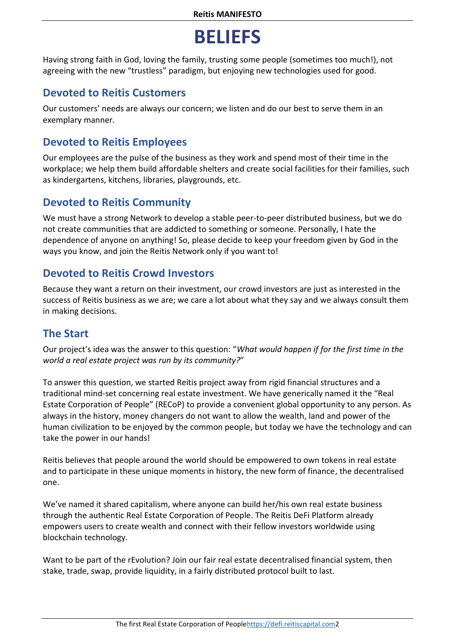# **BELIEFS**

<span id="page-2-0"></span>Having strong faith in God, loving the family, trusting some people (sometimes too much!), not agreeing with the new "trustless" paradigm, but enjoying new technologies used for good.

## <span id="page-2-1"></span>**Devoted to Reitis Customers**

Our customers' needs are always our concern; we listen and do our best to serve them in an exemplary manner.

## <span id="page-2-2"></span>**Devoted to Reitis Employees**

Our employees are the pulse of the business as they work and spend most of their time in the workplace; we help them build affordable shelters and create social facilities for their families, such as kindergartens, kitchens, libraries, playgrounds, etc.

## <span id="page-2-3"></span>**Devoted to Reitis Community**

We must have a strong Network to develop a stable peer-to-peer distributed business, but we do not create communities that are addicted to something or someone. Personally, I hate the dependence of anyone on anything! So, please decide to keep your freedom given by God in the ways you know, and join the Reitis Network only if you want to!

#### <span id="page-2-4"></span>**Devoted to Reitis Crowd Investors**

Because they want a return on their investment, our crowd investors are just as interested in the success of Reitis business as we are; we care a lot about what they say and we always consult them in making decisions.

## <span id="page-2-5"></span>**The Start**

Our project's idea was the answer to this question: "*What would happen if for the first time in the world a real estate project was run by its community?*"

To answer this question, we started Reitis project away from rigid financial structures and a traditional mind-set concerning real estate investment. We have generically named it the "Real Estate Corporation of People" (RECoP) to provide a convenient global opportunity to any person. As always in the history, money changers do not want to allow the wealth, land and power of the human civilization to be enjoyed by the common people, but today we have the technology and can take the power in our hands!

Reitis believes that people around the world should be empowered to own tokens in real estate and to participate in these unique moments in history, the new form of finance, the decentralised one.

We've named it shared capitalism, where anyone can build her/his own real estate business through the authentic Real Estate Corporation of People. The Reitis DeFi Platform already empowers users to create wealth and connect with their fellow investors worldwide using blockchain technology.

Want to be part of the rEvolution? Join our fair real estate decentralised financial system, then stake, trade, swap, provide liquidity, in a fairly distributed protocol built to last.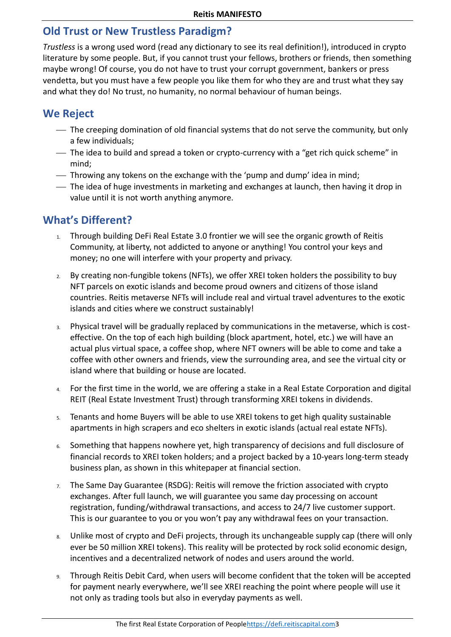#### <span id="page-3-0"></span>**Old Trust or New Trustless Paradigm?**

*Trustless* is a wrong used word (read any dictionary to see its real definition!), introduced in crypto literature by some people. But, if you cannot trust your fellows, brothers or friends, then something maybe wrong! Of course, you do not have to trust your corrupt government, bankers or press vendetta, but you must have a few people you like them for who they are and trust what they say and what they do! No trust, no humanity, no normal behaviour of human beings.

## <span id="page-3-1"></span>**We Reject**

- The creeping domination of old financial systems that do not serve the community, but only a few individuals;
- The idea to build and spread a token or crypto-currency with a "get rich quick scheme" in mind;
- Throwing any tokens on the exchange with the 'pump and dump' idea in mind;
- The idea of huge investments in marketing and exchanges at launch, then having it drop in value until it is not worth anything anymore.

#### <span id="page-3-2"></span>**What's Different?**

- 1. Through building DeFi Real Estate 3.0 frontier we will see the organic growth of Reitis Community, at liberty, not addicted to anyone or anything! You control your keys and money; no one will interfere with your property and privacy.
- 2. By creating non-fungible tokens (NFTs), we offer XREI token holders the possibility to buy NFT parcels on exotic islands and become proud owners and citizens of those island countries. Reitis metaverse NFTs will include real and virtual travel adventures to the exotic islands and cities where we construct sustainably!
- 3. Physical travel will be gradually replaced by communications in the metaverse, which is costeffective. On the top of each high building (block apartment, hotel, etc.) we will have an actual plus virtual space, a coffee shop, where NFT owners will be able to come and take a coffee with other owners and friends, view the surrounding area, and see the virtual city or island where that building or house are located.
- 4. For the first time in the world, we are offering a stake in a Real Estate Corporation and digital REIT (Real Estate Investment Trust) through transforming XREI tokens in dividends.
- 5. Tenants and home Buyers will be able to use XREI tokens to get high quality sustainable apartments in high scrapers and eco shelters in exotic islands (actual real estate NFTs).
- 6. Something that happens nowhere yet, high transparency of decisions and full disclosure of financial records to XREI token holders; and a project backed by a 10-years long-term steady business plan, as shown in this whitepaper at financial section.
- 7. The Same Day Guarantee (RSDG): Reitis will remove the friction associated with crypto exchanges. After full launch, we will guarantee you same day processing on account registration, funding/withdrawal transactions, and access to 24/7 live customer support. This is our guarantee to you or you won't pay any withdrawal fees on your transaction.
- 8. Unlike most of crypto and DeFi projects, through its unchangeable supply cap (there will only ever be 50 million XREI tokens). This reality will be protected by rock solid economic design, incentives and a decentralized network of nodes and users around the world.
- 9. Through Reitis Debit Card, when users will become confident that the token will be accepted for payment nearly everywhere, we'll see XREI reaching the point where people will use it not only as trading tools but also in everyday payments as well.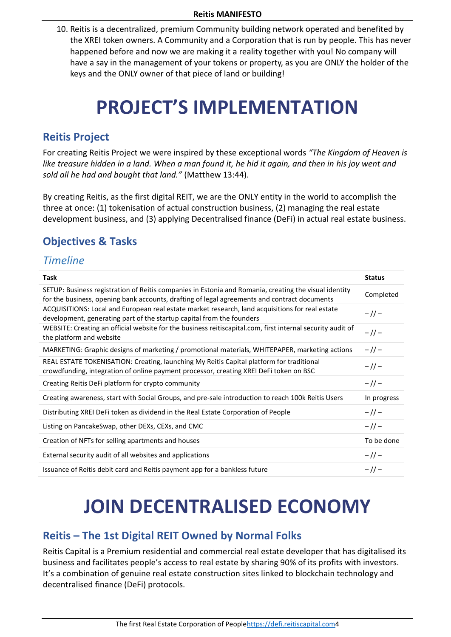10. Reitis is a decentralized, premium Community building network operated and benefited by the XREI token owners. A Community and a Corporation that is run by people. This has never happened before and now we are making it a reality together with you! No company will have a say in the management of your tokens or property, as you are ONLY the holder of the keys and the ONLY owner of that piece of land or building!

# **PROJECT'S IMPLEMENTATION**

## <span id="page-4-1"></span><span id="page-4-0"></span>**Reitis Project**

For creating Reitis Project we were inspired by these exceptional words *"The Kingdom of Heaven is like treasure hidden in a land. When a man found it, he hid it again, and then in his joy went and sold all he had and bought that land."* (Matthew 13:44).

By creating Reitis, as the first digital REIT, we are the ONLY entity in the world to accomplish the three at once: (1) tokenisation of actual construction business, (2) managing the real estate development business, and (3) applying Decentralised finance (DeFi) in actual real estate business.

## <span id="page-4-2"></span>**Objectives & Tasks**

#### *Timeline*

| <b>Task</b>                                                                                                                                                                                           | <b>Status</b> |
|-------------------------------------------------------------------------------------------------------------------------------------------------------------------------------------------------------|---------------|
| SETUP: Business registration of Reitis companies in Estonia and Romania, creating the visual identity<br>for the business, opening bank accounts, drafting of legal agreements and contract documents | Completed     |
| ACQUISITIONS: Local and European real estate market research, land acquisitions for real estate<br>development, generating part of the startup capital from the founders                              | $-11-$        |
| WEBSITE: Creating an official website for the business reitiscapital.com, first internal security audit of<br>the platform and website                                                                | $-11-$        |
| MARKETING: Graphic designs of marketing / promotional materials, WHITEPAPER, marketing actions                                                                                                        | $-1/-$        |
| REAL ESTATE TOKENISATION: Creating, launching My Reitis Capital platform for traditional<br>crowdfunding, integration of online payment processor, creating XREI DeFi token on BSC                    | $-1/-$        |
| Creating Reitis DeFi platform for crypto community                                                                                                                                                    | $-11-$        |
| Creating awareness, start with Social Groups, and pre-sale introduction to reach 100k Reitis Users                                                                                                    | In progress   |
| Distributing XREI DeFi token as dividend in the Real Estate Corporation of People                                                                                                                     | $-11-$        |
| Listing on PancakeSwap, other DEXs, CEXs, and CMC                                                                                                                                                     | $-1/-$        |
| Creation of NFTs for selling apartments and houses                                                                                                                                                    | To be done    |
| External security audit of all websites and applications                                                                                                                                              | $-1/ -$       |
| Issuance of Reitis debit card and Reitis payment app for a bankless future                                                                                                                            | $-11-$        |

# <span id="page-4-3"></span>**JOIN DECENTRALISED ECONOMY**

#### <span id="page-4-4"></span>**Reitis – The 1st Digital REIT Owned by Normal Folks**

Reitis Capital is a Premium residential and commercial real estate developer that has digitalised its business and facilitates people's access to real estate by sharing 90% of its profits with investors. It's a combination of genuine real estate construction sites linked to blockchain technology and decentralised finance (DeFi) protocols.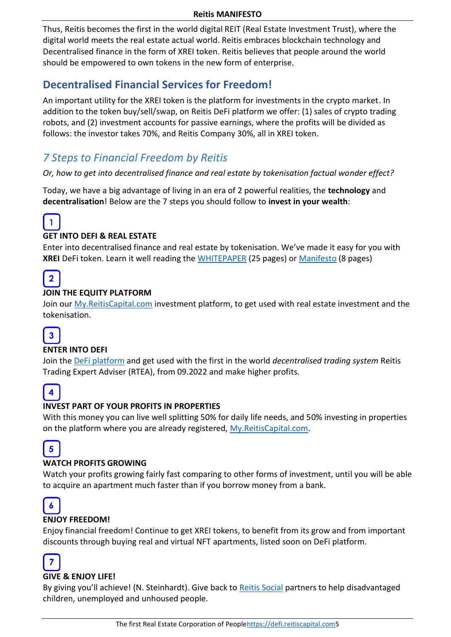Thus, Reitis becomes the first in the world digital REIT (Real Estate Investment Trust), where the digital world meets the real estate actual world. Reitis embraces blockchain technology and Decentralised finance in the form of XREI token. Reitis believes that people around the world should be empowered to own tokens in the new form of enterprise.

# <span id="page-5-0"></span>**Decentralised Financial Services for Freedom!**

An important utility for the XREI token is the platform for investments in the crypto market. In addition to the token buy/sell/swap, on Reitis DeFi platform we offer: (1) sales of crypto trading robots, and (2) investment accounts for passive earnings, where the profits will be divided as follows: the investor takes 70%, and Reitis Company 30%, all in XREI token.

# *7 Steps to Financial Freedom by Reitis*

*Or, how to get into decentralised finance and real estate by tokenisation factual wonder effect?* 

Today, we have a big advantage of living in an era of 2 powerful realities, the **technology** and **decentralisation**! Below are the 7 steps you should follow to **invest in your wealth**:



#### **GET INTO DEFI & REAL ESTATE**

Enter into decentralised finance and real estate by tokenisation. We've made it easy for you with **XREI** DeFi token. Learn it well reading the [WHITEPAPER](https://reitiscapital.com/wp-content/uploads/2022/03/XREI_DeFi_Token_WHITEPAPER_updated_30.03.2022.pdf) (25 pages) o[r Manifesto](https://reitiscapital.com/reitis-manifesto/) (8 pages)



#### **JOIN THE EQUITY PLATFORM**

Join our [My.ReitisCapital.com](https://my.reitiscapital.com/) investment platform, to get used with real estate investment and the tokenisation.



#### **ENTER INTO DEFI**

Join the [DeFi platform](https://defi.reitiscapital.com/) and get used with the first in the world *decentralised trading system* Reitis Trading Expert Adviser (RTEA), from 09.2022 and make higher profits.



#### **INVEST PART OF YOUR PROFITS IN PROPERTIES**

With this money you can live well splitting 50% for daily life needs, and 50% investing in properties on the platform where you are already registered, [My.ReitisCapital.com.](https://my.reitiscapital.com/)



#### **WATCH PROFITS GROWING**

Watch your profits growing fairly fast comparing to other forms of investment, until you will be able to acquire an apartment much faster than if you borrow money from a bank.



#### **ENJOY FREEDOM!**

Enjoy financial freedom! Continue to get XREI tokens, to benefit from its grow and from important discounts through buying real and virtual NFT apartments, listed soon on DeFi platform.



#### **GIVE & ENJOY LIFE!**

By giving you'll achieve! (N. Steinhardt). Give back to [Reitis Social](https://reitiscapital.com/reitis-social/) partners to help disadvantaged children, unemployed and unhoused people.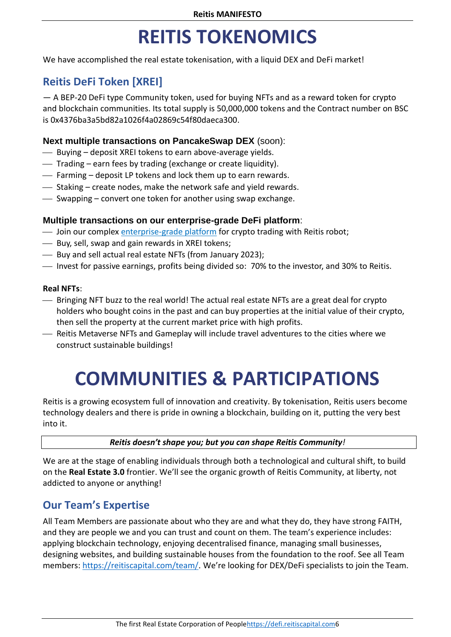# **REITIS TOKENOMICS**

<span id="page-6-0"></span>We have accomplished the real estate tokenisation, with a liquid DEX and DeFi market!

## <span id="page-6-1"></span>**Reitis DeFi Token [XREI]**

― A BEP-20 DeFi type Community token, used for buying NFTs and as a reward token for crypto and blockchain communities. Its total supply is 50,000,000 tokens and the Contract number on BSC is 0x4376ba3a5bd82a1026f4a02869c54f80daeca300.

#### **Next multiple transactions on PancakeSwap DEX** (soon):

- Buying deposit XREI tokens to earn above-average yields.
- $-$  Trading earn fees by trading (exchange or create liquidity).
- $-$  Farming deposit LP tokens and lock them up to earn rewards.
- $\sim$  Staking create nodes, make the network safe and yield rewards.
- $-$  Swapping convert one token for another using swap exchange.

#### **Multiple transactions on our enterprise-grade DeFi platform**:

- **We Join our complex [enterprise-grade platform](https://defi.reitiscapital.com/) for crypto trading with Reitis robot;**
- $\overline{\phantom{a}}$  Buy, sell, swap and gain rewards in XREI tokens;
- Buy and sell actual real estate NFTs (from January 2023);
- Invest for passive earnings, profits being divided so: 70% to the investor, and 30% to Reitis.

#### **Real NFTs**:

- Bringing NFT buzz to the real world! The actual real estate NFTs are a great deal for crypto holders who bought coins in the past and can buy properties at the initial value of their crypto, then sell the property at the current market price with high profits.
- <span id="page-6-2"></span> Reitis Metaverse NFTs and Gameplay will include travel adventures to the cities where we construct sustainable buildings!

# **COMMUNITIES & PARTICIPATIONS**

Reitis is a growing ecosystem full of innovation and creativity. By tokenisation, Reitis users become technology dealers and there is pride in owning a blockchain, building on it, putting the very best into it.

#### *Reitis doesn't shape you; but you can shape Reitis Community!*

We are at the stage of enabling individuals through both a technological and cultural shift, to build on the **Real Estate 3.0** frontier. We'll see the organic growth of Reitis Community, at liberty, not addicted to anyone or anything!

#### <span id="page-6-3"></span>**Our Team's Expertise**

All Team Members are passionate about who they are and what they do, they have strong FAITH, and they are people we and you can trust and count on them. The team's experience includes: applying blockchain technology, enjoying decentralised finance, managing small businesses, designing websites, and building sustainable houses from the foundation to the roof. See all Team members: <https://reitiscapital.com/team/>. We're looking for DEX/DeFi specialists to join the Team.